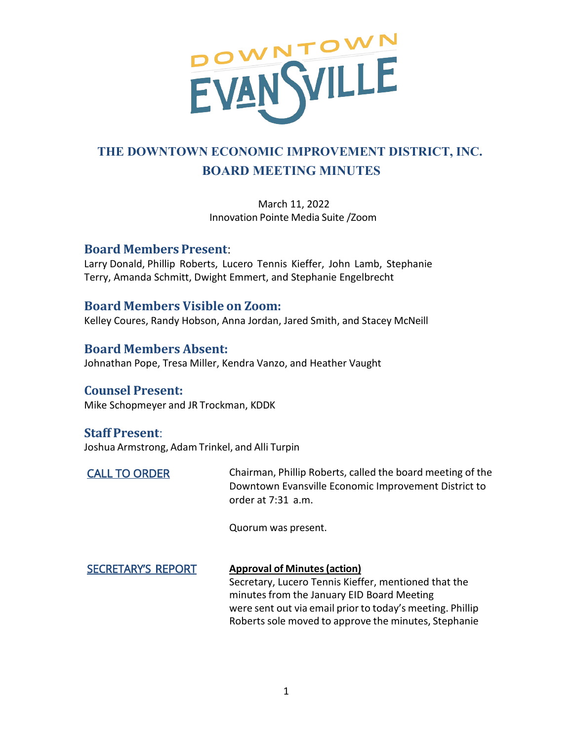

# **THE DOWNTOWN ECONOMIC IMPROVEMENT DISTRICT, INC. BOARD MEETING MINUTES**

March 11, 2022 Innovation Pointe Media Suite /Zoom

## **Board Members Present**:

Larry Donald, Phillip Roberts, Lucero Tennis Kieffer, John Lamb, Stephanie Terry, Amanda Schmitt, Dwight Emmert, and Stephanie Engelbrecht

## **Board Members Visible on Zoom:**

Kelley Coures, Randy Hobson, Anna Jordan, Jared Smith, and Stacey McNeill

**Board Members Absent:** Johnathan Pope, Tresa Miller, Kendra Vanzo, and Heather Vaught

## **Counsel Present:**

Mike Schopmeyer and JR Trockman, KDDK

## **Staff Present**:

Joshua Armstrong, Adam Trinkel, and Alli Turpin

CALL TO ORDER Chairman, Phillip Roberts, called the board meeting of the Downtown Evansville Economic Improvement District to order at 7:31 a.m.

Quorum was present.

#### **Approval of Minutes(action)** SECRETARY'S REPORT

Secretary, Lucero Tennis Kieffer, mentioned that the minutes from the January EID Board Meeting were sent out via email prior to today's meeting. Phillip Roberts sole moved to approve the minutes, Stephanie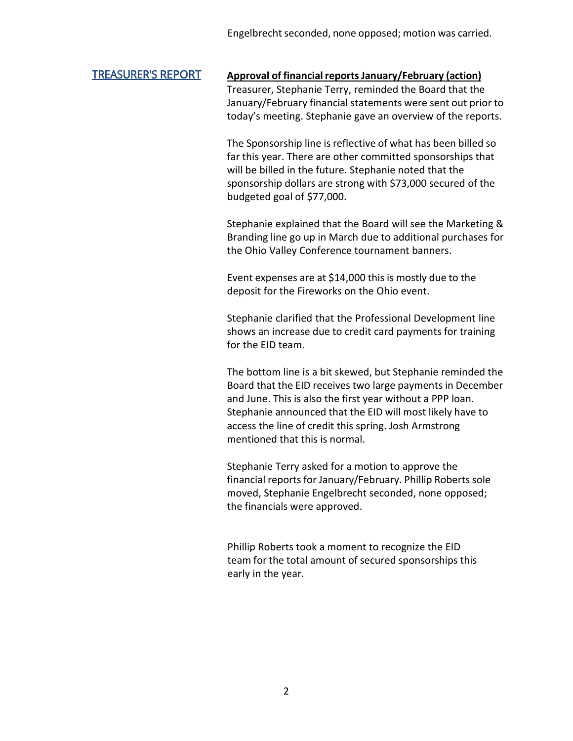## TREASURER'S REPORT **Approval of financialreportsJanuary/February (action)**

Treasurer, Stephanie Terry, reminded the Board that the January/February financial statements were sent out prior to today's meeting. Stephanie gave an overview of the reports.

The Sponsorship line is reflective of what has been billed so far this year. There are other committed sponsorships that will be billed in the future. Stephanie noted that the sponsorship dollars are strong with \$73,000 secured of the budgeted goal of \$77,000.

Stephanie explained that the Board will see the Marketing & Branding line go up in March due to additional purchases for the Ohio Valley Conference tournament banners.

Event expenses are at \$14,000 this is mostly due to the deposit for the Fireworks on the Ohio event.

Stephanie clarified that the Professional Development line shows an increase due to credit card payments for training for the EID team.

The bottom line is a bit skewed, but Stephanie reminded the Board that the EID receives two large payments in December and June. This is also the first year without a PPP loan. Stephanie announced that the EID will most likely have to access the line of credit this spring. Josh Armstrong mentioned that this is normal.

Stephanie Terry asked for a motion to approve the financial reports for January/February. Phillip Roberts sole moved, Stephanie Engelbrecht seconded, none opposed; the financials were approved.

Phillip Roberts took a moment to recognize the EID team for the total amount of secured sponsorships this early in the year.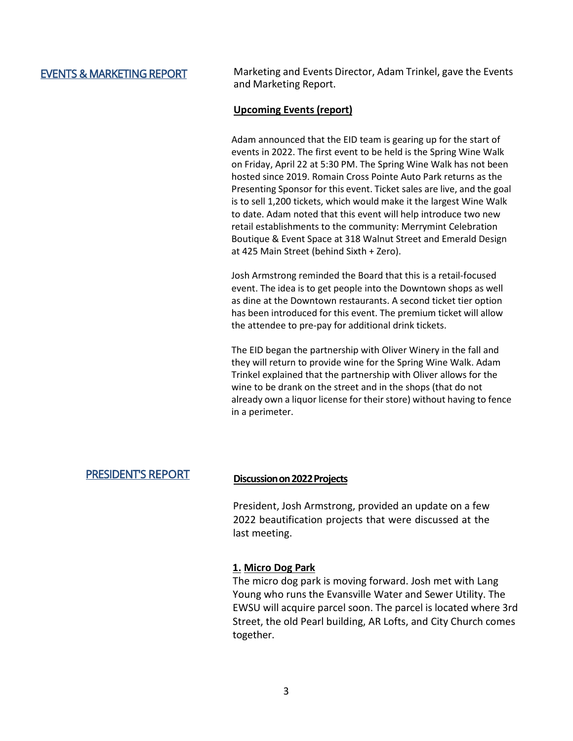EVENTS & MARKETING REPORT Marketing and Events Director, Adam Trinkel, gave the Events and Marketing Report.

### **Upcoming Events (report)**

Adam announced that the EID team is gearing up for the start of events in 2022. The first event to be held is the Spring Wine Walk on Friday, April 22 at 5:30 PM. The Spring Wine Walk has not been hosted since 2019. Romain Cross Pointe Auto Park returns as the Presenting Sponsor for this event. Ticket sales are live, and the goal is to sell 1,200 tickets, which would make it the largest Wine Walk to date. Adam noted that this event will help introduce two new retail establishments to the community: Merrymint Celebration Boutique & Event Space at 318 Walnut Street and Emerald Design at 425 Main Street (behind Sixth + Zero).

Josh Armstrong reminded the Board that this is a retail-focused event. The idea is to get people into the Downtown shops as well as dine at the Downtown restaurants. A second ticket tier option has been introduced for this event. The premium ticket will allow the attendee to pre-pay for additional drink tickets.

The EID began the partnership with Oliver Winery in the fall and they will return to provide wine for the Spring Wine Walk. Adam Trinkel explained that the partnership with Oliver allows for the wine to be drank on the street and in the shops (that do not already own a liquor license for their store) without having to fence in a perimeter.

# PRESIDENT'S REPORT **Discussionon2022Projects**

President, Josh Armstrong, provided an update on a few 2022 beautification projects that were discussed at the last meeting.

### **1. Micro Dog Park**

The micro dog park is moving forward. Josh met with Lang Young who runs the Evansville Water and Sewer Utility. The EWSU will acquire parcel soon. The parcel is located where 3rd Street, the old Pearl building, AR Lofts, and City Church comes together.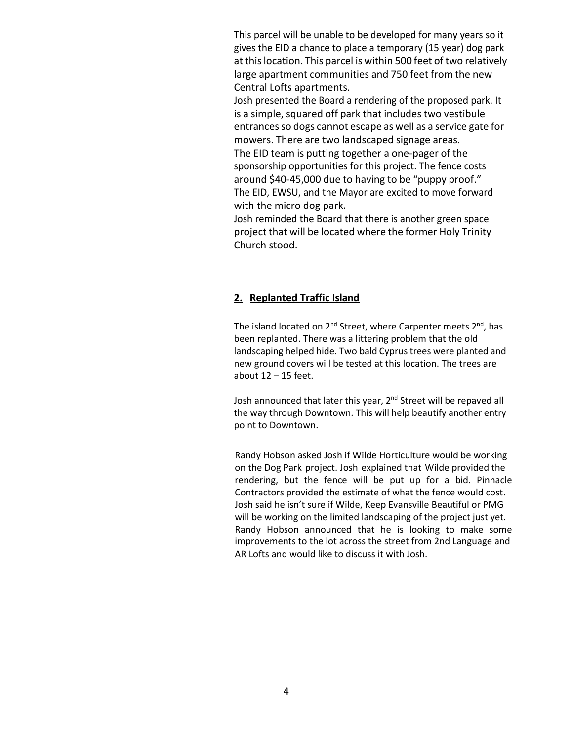This parcel will be unable to be developed for many years so it gives the EID a chance to place a temporary (15 year) dog park at thislocation. This parcel is within 500 feet of two relatively large apartment communities and 750 feet from the new Central Lofts apartments.

Josh presented the Board a rendering of the proposed park. It is a simple, squared off park that includes two vestibule entrances so dogs cannot escape as well as a service gate for mowers. There are two landscaped signage areas. The EID team is putting together a one-pager of the

sponsorship opportunities for this project. The fence costs around \$40-45,000 due to having to be "puppy proof." The EID, EWSU, and the Mayor are excited to move forward with the micro dog park.

Josh reminded the Board that there is another green space project that will be located where the former Holy Trinity Church stood.

## **2. Replanted Traffic Island**

The island located on  $2^{nd}$  Street, where Carpenter meets  $2^{nd}$ , has been replanted. There was a littering problem that the old landscaping helped hide. Two bald Cyprus trees were planted and new ground covers will be tested at this location. The trees are about  $12 - 15$  feet.

Josh announced that later this year, 2<sup>nd</sup> Street will be repaved all the way through Downtown. This will help beautify another entry point to Downtown.

Randy Hobson asked Josh if Wilde Horticulture would be working on the Dog Park project. Josh explained that Wilde provided the rendering, but the fence will be put up for a bid. Pinnacle Contractors provided the estimate of what the fence would cost. Josh said he isn't sure if Wilde, Keep Evansville Beautiful or PMG will be working on the limited landscaping of the project just yet. Randy Hobson announced that he is looking to make some improvements to the lot across the street from 2nd Language and AR Lofts and would like to discuss it with Josh.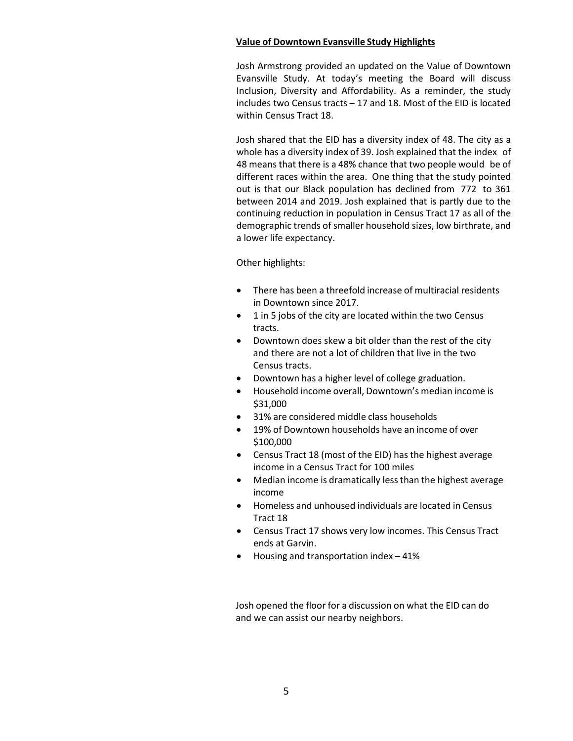#### **Value of Downtown Evansville Study Highlights**

Josh Armstrong provided an updated on the Value of Downtown Evansville Study. At today's meeting the Board will discuss Inclusion, Diversity and Affordability. As a reminder, the study includes two Census tracts – 17 and 18. Most of the EID is located within Census Tract 18.

Josh shared that the EID has a diversity index of 48. The city as a whole has a diversity index of 39. Josh explained that the index of 48 means that there is a 48% chance that two people would be of different races within the area. One thing that the study pointed out is that our Black population has declined from 772 to 361 between 2014 and 2019. Josh explained that is partly due to the continuing reduction in population in Census Tract 17 as all of the demographic trends of smaller household sizes, low birthrate, and a lower life expectancy.

#### Other highlights:

- There has been a threefold increase of multiracial residents in Downtown since 2017.
- 1 in 5 jobs of the city are located within the two Census tracts.
- Downtown does skew a bit older than the rest of the city and there are not a lot of children that live in the two Census tracts.
- Downtown has a higher level of college graduation.
- Household income overall, Downtown's median income is \$31,000
- 31% are considered middle class households
- 19% of Downtown households have an income of over \$100,000
- Census Tract 18 (most of the EID) has the highest average income in a Census Tract for 100 miles
- Median income is dramatically less than the highest average income
- Homeless and unhoused individuals are located in Census Tract 18
- Census Tract 17 shows very low incomes. This Census Tract ends at Garvin.
- Housing and transportation index 41%

Josh opened the floor for a discussion on what the EID can do and we can assist our nearby neighbors.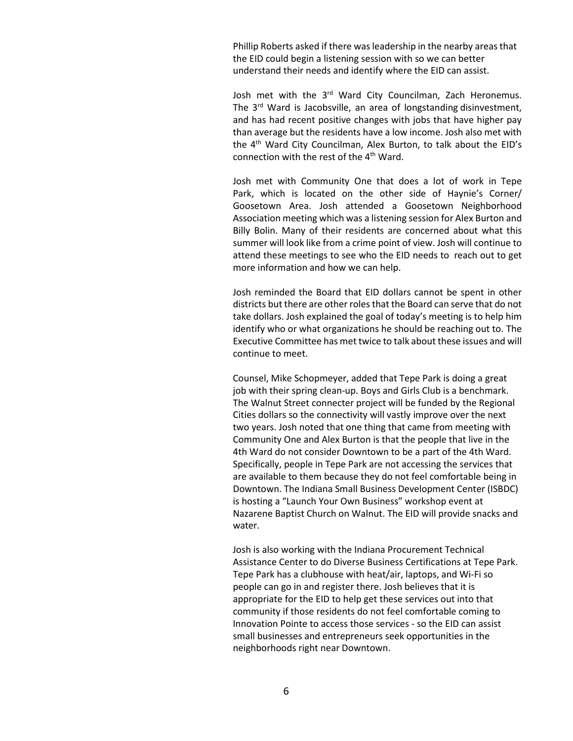Phillip Roberts asked if there was leadership in the nearby areas that the EID could begin a listening session with so we can better understand their needs and identify where the EID can assist.

Josh met with the 3<sup>rd</sup> Ward City Councilman, Zach Heronemus. The 3<sup>rd</sup> Ward is Jacobsville, an area of longstanding disinvestment, and has had recent positive changes with jobs that have higher pay than average but the residents have a low income. Josh also met with the  $4<sup>th</sup>$  Ward City Councilman, Alex Burton, to talk about the EID's connection with the rest of the 4th Ward.

Josh met with Community One that does a lot of work in Tepe Park, which is located on the other side of Haynie's Corner/ Goosetown Area. Josh attended a Goosetown Neighborhood Association meeting which was a listening session for Alex Burton and Billy Bolin. Many of their residents are concerned about what this summer will look like from a crime point of view. Josh will continue to attend these meetings to see who the EID needs to reach out to get more information and how we can help.

Josh reminded the Board that EID dollars cannot be spent in other districts but there are other roles that the Board can serve that do not take dollars. Josh explained the goal of today's meeting is to help him identify who or what organizations he should be reaching out to. The Executive Committee has met twice to talk about these issues and will continue to meet.

Counsel, Mike Schopmeyer, added that Tepe Park is doing a great job with their spring clean-up. Boys and Girls Club is a benchmark. The Walnut Street connecter project will be funded by the Regional Cities dollars so the connectivity will vastly improve over the next two years. Josh noted that one thing that came from meeting with Community One and Alex Burton is that the people that live in the 4th Ward do not consider Downtown to be a part of the 4th Ward. Specifically, people in Tepe Park are not accessing the services that are available to them because they do not feel comfortable being in Downtown. The Indiana Small Business Development Center (ISBDC) is hosting a "Launch Your Own Business" workshop event at Nazarene Baptist Church on Walnut. The EID will provide snacks and water.

Josh is also working with the Indiana Procurement Technical Assistance Center to do Diverse Business Certifications at Tepe Park. Tepe Park has a clubhouse with heat/air, laptops, and Wi-Fi so people can go in and register there. Josh believes that it is appropriate for the EID to help get these services out into that community if those residents do not feel comfortable coming to Innovation Pointe to access those services - so the EID can assist small businesses and entrepreneurs seek opportunities in the neighborhoods right near Downtown.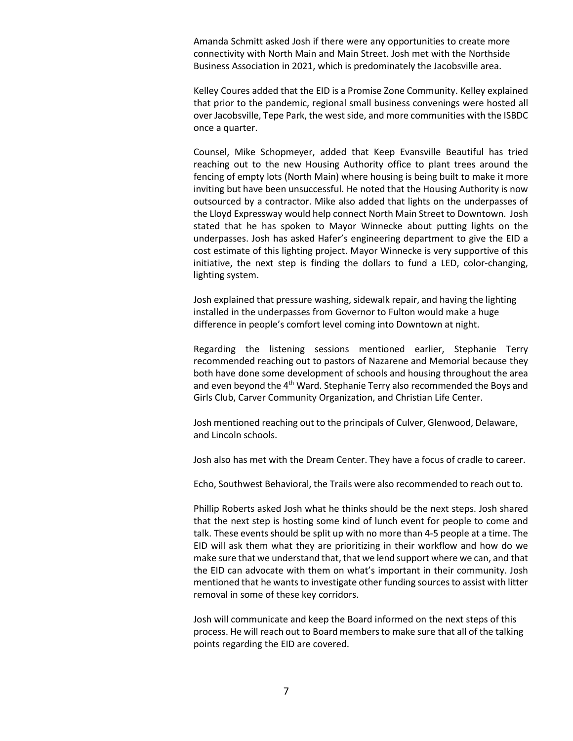Amanda Schmitt asked Josh if there were any opportunities to create more connectivity with North Main and Main Street. Josh met with the Northside Business Association in 2021, which is predominately the Jacobsville area.

Kelley Coures added that the EID is a Promise Zone Community. Kelley explained that prior to the pandemic, regional small business convenings were hosted all over Jacobsville, Tepe Park, the west side, and more communities with the ISBDC once a quarter.

Counsel, Mike Schopmeyer, added that Keep Evansville Beautiful has tried reaching out to the new Housing Authority office to plant trees around the fencing of empty lots (North Main) where housing is being built to make it more inviting but have been unsuccessful. He noted that the Housing Authority is now outsourced by a contractor. Mike also added that lights on the underpasses of the Lloyd Expressway would help connect North Main Street to Downtown. Josh stated that he has spoken to Mayor Winnecke about putting lights on the underpasses. Josh has asked Hafer's engineering department to give the EID a cost estimate of this lighting project. Mayor Winnecke is very supportive of this initiative, the next step is finding the dollars to fund a LED, color-changing, lighting system.

Josh explained that pressure washing, sidewalk repair, and having the lighting installed in the underpasses from Governor to Fulton would make a huge difference in people's comfort level coming into Downtown at night.

Regarding the listening sessions mentioned earlier, Stephanie Terry recommended reaching out to pastors of Nazarene and Memorial because they both have done some development of schools and housing throughout the area and even beyond the 4<sup>th</sup> Ward. Stephanie Terry also recommended the Boys and Girls Club, Carver Community Organization, and Christian Life Center.

Josh mentioned reaching out to the principals of Culver, Glenwood, Delaware, and Lincoln schools.

Josh also has met with the Dream Center. They have a focus of cradle to career.

Echo, Southwest Behavioral, the Trails were also recommended to reach out to.

Phillip Roberts asked Josh what he thinks should be the next steps. Josh shared that the next step is hosting some kind of lunch event for people to come and talk. These events should be split up with no more than 4-5 people at a time. The EID will ask them what they are prioritizing in their workflow and how do we make sure that we understand that, that we lend support where we can, and that the EID can advocate with them on what's important in their community. Josh mentioned that he wants to investigate other funding sources to assist with litter removal in some of these key corridors.

Josh will communicate and keep the Board informed on the next steps of this process. He will reach out to Board membersto make sure that all of the talking points regarding the EID are covered.